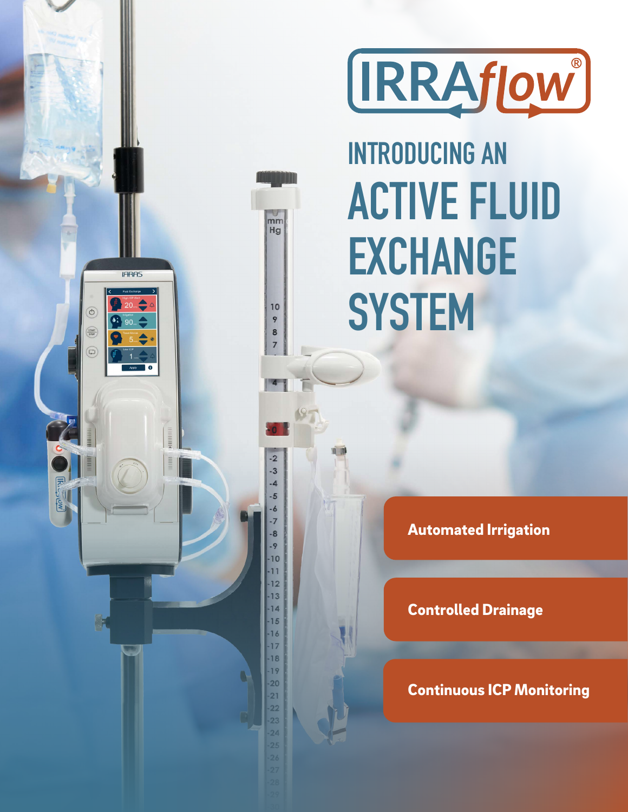

# **INTRODUCING AN ACTIVE FLUID EXCHANGE SYSTEM**

 $\overline{mm}$ Hg

 $10$ 

9

8  $\overline{7}$ 

 $-2$  $-3$  $-4$  $-5$ -6  $-7$  $-8$ - 9  $-10$  $-11$  $-12$  $-13$  $14$  $-15$  $-16$  $-17$  $-18$  $-19$  $\cdot$  20  $-21$  $-22$ 23  $\overline{24}$ 

**IFIRAS** 

 $\odot$ 

START

 $\begin{pmatrix} \square \\ \square \end{pmatrix}$ 

Automated Irrigation

Controlled Drainage

Continuous ICP Monitoring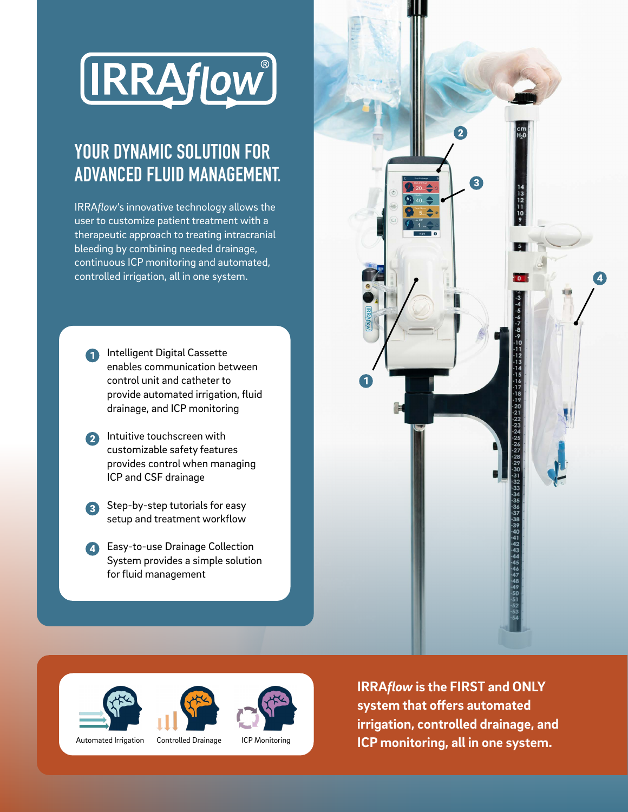

# YOUR DYNAMIC SOLUTION FOR ADVANCED FLUID MANAGEMENT.

IRRA*flow*'s innovative technology allows the user to customize patient treatment with a therapeutic approach to treating intracranial bleeding by combining needed drainage, continuous ICP monitoring and automated, controlled irrigation, all in one system.

- **1** Intelligent Digital Cassette enables communication between control unit and catheter to provide automated irrigation, fluid drainage, and ICP monitoring
- Intuitive touchscreen with customizable safety features provides control when managing ICP and CSF drainage 2
- Step-by-step tutorials for easy setup and treatment workflow 3
- **4** Easy-to-use Drainage Collection System provides a simple solution for fluid management









Automated Irrigation Controlled Drainage ICP Monitoring

**IRRA***flow* **is the FIRST and ONLY system that offers automated irrigation, controlled drainage, and ICP monitoring, all in one system.**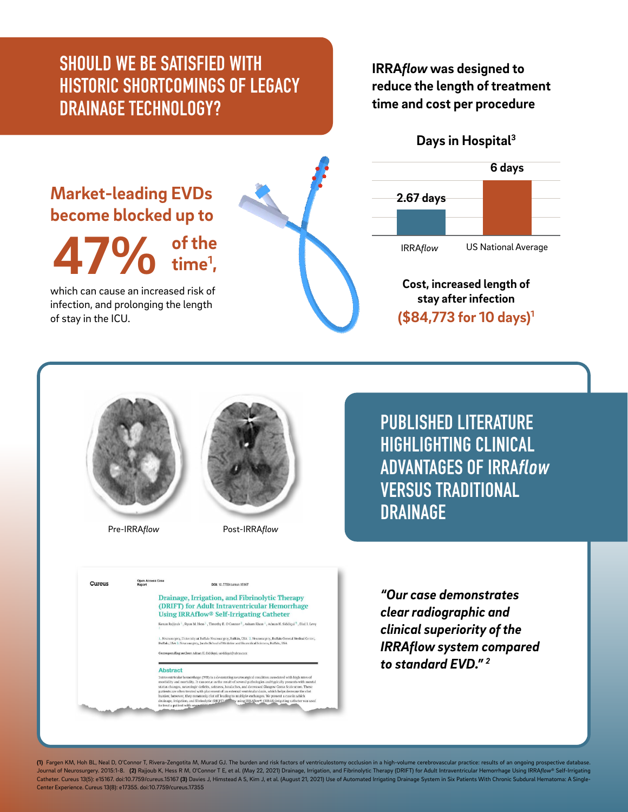## SHOULD WE BE SATISFIED WITH HISTORIC SHORTCOMINGS OF LEGACY DRAINAGE TECHNOLOGY?

#### **IRRA***flow* **was designed to reduce the length of treatment time and cost per procedure**

**Days in Hospital3**

### **Market-leading EVDs become blocked up to**

**47% of the time1 ,**

which can cause an increased risk of infection, and prolonging the length of stay in the ICU.





**Cost, increased length of stay after infection (\$84,773 for 10 days)1**



Open Ac

Cureus



Pre-IRRA*flow* Post-IRRA*flow*

DOI: 10.7759/curaus.15167 Drainage, Irrigation, and Fibrinolytic Therapy (DRIFT) for Adult Intraventricular Hemorrhage Using IRRAflow<sup>®</sup> Self-Irrigating Catheter Kenan Rajjoub <sup>1</sup> , Ryan M. Hess <sup>1</sup> , Timothy E. O'Connor <sup>2</sup> , Asham Khan <sup>1</sup> , Adnan H. Siddiqui <sup>5</sup> , Elad I. Levy

.<br>I. Neurosurgery, University at Buffalo Neurosurgery, Buffalo, USA 2. Neurosurgery, Buffalo Gei<br>Buffalo, USA 3. Neurosurgery, Jacobs School of Medicine and Biomedical Sciences, Buffalo, USA

**ADDITION CONTINUES** (VH) is a decastating neurosargical condition associated with high rates can be intermediated and monitolity and most<br>intermediated and properties with most and the several gathering is stating the<br>se

.<br>In**ding author:** Adran H. Siddiqui, asiddiqui@u

Abstract

PUBLISHED LITERATURE HIGHLIGHTING CLINICAL ADVANTAGES OF IRRA*flow* VERSUS TRADITIONAL DRAINAGE

*"Our case demonstrates clear radiographic and clinical superiority of the IRRAflow system compared to standard EVD." 2*

**(1)** Fargen KM, Hoh BL, Neal D, O'Connor T, Rivera-Zengotita M, Murad GJ. The burden and risk factors of ventriculostomy occlusion in a high-volume cerebrovascular practice: results of an ongoing prospective database.<br>Jou Catheter. Cureus 13(5): e15167. doi:10.7759/cureus.15167 (3) Davies J, Himstead A S, Kim J, et al. (August 21, 2021) Use of Automated Irrigating Drainage System in Six Patients With Chronic Subdural Hematoma: A Sing Center Experience. Cureus 13(8): e17355. doi:10.7759/cureus.17355